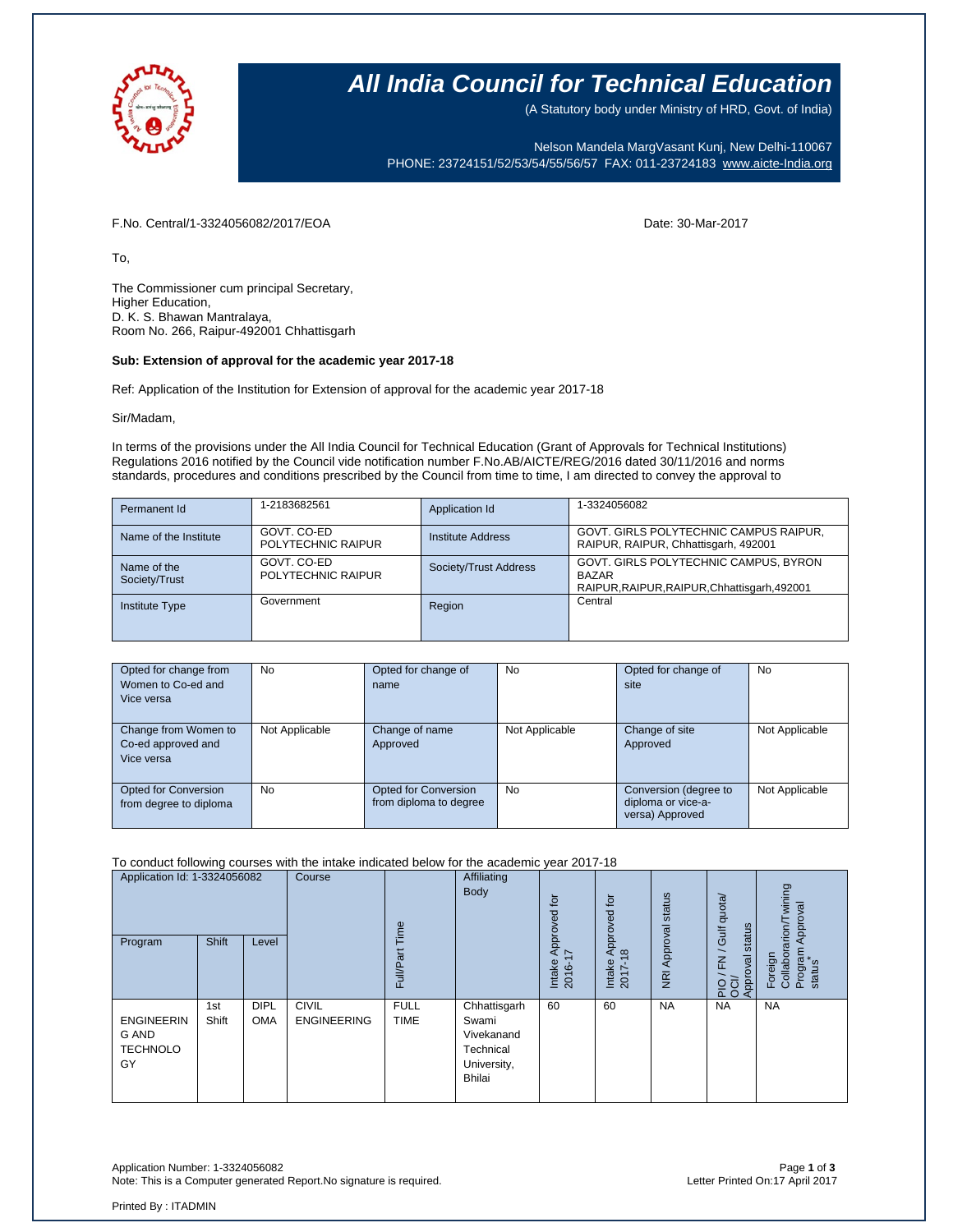

## **All India Council for Technical Education**

(A Statutory body under Ministry of HRD, Govt. of India)

Nelson Mandela MargVasant Kunj, New Delhi-110067 PHONE: 23724151/52/53/54/55/56/57 FAX: 011-23724183 [www.aicte-India.org](http://www.aicte-india.org/)

F.No. Central/1-3324056082/2017/EOA Date: 30-Mar-2017

To,

The Commissioner cum principal Secretary, Higher Education, D. K. S. Bhawan Mantralaya, Room No. 266, Raipur-492001 Chhattisgarh

#### **Sub: Extension of approval for the academic year 2017-18**

Ref: Application of the Institution for Extension of approval for the academic year 2017-18

Sir/Madam,

In terms of the provisions under the All India Council for Technical Education (Grant of Approvals for Technical Institutions) Regulations 2016 notified by the Council vide notification number F.No.AB/AICTE/REG/2016 dated 30/11/2016 and norms standards, procedures and conditions prescribed by the Council from time to time, I am directed to convey the approval to

| Permanent Id                 | 1-2183682561                      | Application Id        | 1-3324056082                                                                                          |
|------------------------------|-----------------------------------|-----------------------|-------------------------------------------------------------------------------------------------------|
| Name of the Institute        | GOVT, CO-ED<br>POLYTECHNIC RAIPUR | Institute Address     | GOVT. GIRLS POLYTECHNIC CAMPUS RAIPUR,<br>RAIPUR, RAIPUR, Chhattisgarh, 492001                        |
| Name of the<br>Society/Trust | GOVT. CO-ED<br>POLYTECHNIC RAIPUR | Society/Trust Address | GOVT. GIRLS POLYTECHNIC CAMPUS, BYRON<br><b>BAZAR</b><br>RAIPUR, RAIPUR, RAIPUR, Chhattisgarh, 492001 |
| <b>Institute Type</b>        | Government                        | Region                | Central                                                                                               |

| Opted for change from  | <b>No</b>      | Opted for change of    | No             | Opted for change of   | No             |
|------------------------|----------------|------------------------|----------------|-----------------------|----------------|
| Women to Co-ed and     |                | name                   |                | site                  |                |
| Vice versa             |                |                        |                |                       |                |
|                        |                |                        |                |                       |                |
| Change from Women to   | Not Applicable | Change of name         | Not Applicable | Change of site        | Not Applicable |
| Co-ed approved and     |                | Approved               |                | Approved              |                |
| Vice versa             |                |                        |                |                       |                |
|                        |                |                        |                |                       |                |
| Opted for Conversion   | No             | Opted for Conversion   | No             | Conversion (degree to | Not Applicable |
| from degree to diploma |                | from diploma to degree |                | diploma or vice-a-    |                |
|                        |                |                        |                | versa) Approved       |                |

#### To conduct following courses with the intake indicated below for the academic year 2017-18

| Application Id: 1-3324056082<br>Program             | Shift        | Level                     | Course                             | Time<br>Full/Part          | Affiliating<br><b>Body</b>                                                       | tor<br>Approved<br>Intake<br>2016-1 | $\overline{b}$<br>yed<br>ord<br>$\infty$<br>Intake<br>2017- | status<br>Approval<br>$\overline{z}$ | / Gulf quota/<br>status<br>준<br>Approval<br>$\frac{5}{20}$ | wining<br>Approval<br>Collaborarion/T<br>Program<br>status<br>Foreign |
|-----------------------------------------------------|--------------|---------------------------|------------------------------------|----------------------------|----------------------------------------------------------------------------------|-------------------------------------|-------------------------------------------------------------|--------------------------------------|------------------------------------------------------------|-----------------------------------------------------------------------|
| <b>ENGINEERIN</b><br>G AND<br><b>TECHNOLO</b><br>GY | 1st<br>Shift | <b>DIPL</b><br><b>OMA</b> | <b>CIVIL</b><br><b>ENGINEERING</b> | <b>FULL</b><br><b>TIME</b> | Chhattisgarh<br>Swami<br>Vivekanand<br>Technical<br>University,<br><b>Bhilai</b> | 60                                  | 60                                                          | <b>NA</b>                            | <b>NA</b>                                                  | <b>NA</b>                                                             |

Application Number: 1-3324056082 Page **1** of **3** Note: This is a Computer generated Report.No signature is required.

Printed By : ITADMIN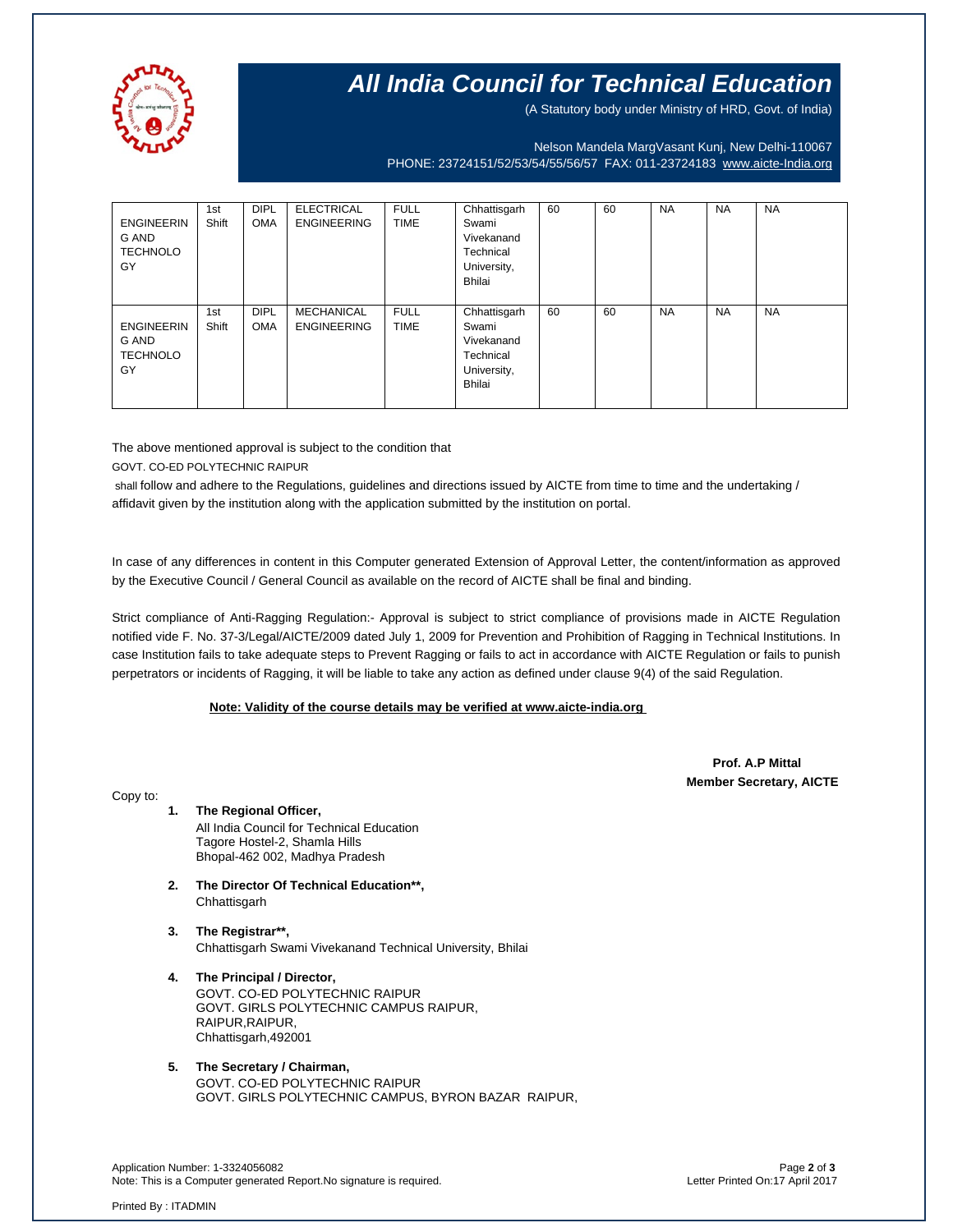

## **All India Council for Technical Education**

(A Statutory body under Ministry of HRD, Govt. of India)

Nelson Mandela MargVasant Kunj, New Delhi-110067 PHONE: 23724151/52/53/54/55/56/57 FAX: 011-23724183 [www.aicte-India.org](http://www.aicte-india.org/)

| <b>ENGINEERIN</b><br>G AND<br><b>TECHNOLO</b><br>GY | 1st<br>Shift | <b>DIPL</b><br><b>OMA</b> | <b>ELECTRICAL</b><br><b>ENGINEERING</b> | <b>FULL</b><br><b>TIME</b> | Chhattisgarh<br>Swami<br>Vivekanand<br>Technical<br>University,<br>Bhilai | 60 | 60 | <b>NA</b> | <b>NA</b> | <b>NA</b> |
|-----------------------------------------------------|--------------|---------------------------|-----------------------------------------|----------------------------|---------------------------------------------------------------------------|----|----|-----------|-----------|-----------|
| <b>ENGINEERIN</b><br>G AND<br><b>TECHNOLO</b><br>GY | 1st<br>Shift | <b>DIPL</b><br><b>OMA</b> | <b>MECHANICAL</b><br><b>ENGINEERING</b> | <b>FULL</b><br><b>TIME</b> | Chhattisgarh<br>Swami<br>Vivekanand<br>Technical<br>University,<br>Bhilai | 60 | 60 | <b>NA</b> | <b>NA</b> | <b>NA</b> |

The above mentioned approval is subject to the condition that GOVT. CO-ED POLYTECHNIC RAIPUR

shall follow and adhere to the Regulations, guidelines and directions issued by AICTE from time to time and the undertaking / affidavit given by the institution along with the application submitted by the institution on portal.

In case of any differences in content in this Computer generated Extension of Approval Letter, the content/information as approved by the Executive Council / General Council as available on the record of AICTE shall be final and binding.

Strict compliance of Anti-Ragging Regulation:- Approval is subject to strict compliance of provisions made in AICTE Regulation notified vide F. No. 37-3/Legal/AICTE/2009 dated July 1, 2009 for Prevention and Prohibition of Ragging in Technical Institutions. In case Institution fails to take adequate steps to Prevent Ragging or fails to act in accordance with AICTE Regulation or fails to punish perpetrators or incidents of Ragging, it will be liable to take any action as defined under clause 9(4) of the said Regulation.

## **Note: Validity of the course details may be verified at www.aicte-india.org**

 **Prof. A.P Mittal Member Secretary, AICTE**

Copy to:

**1. The Regional Officer,** All India Council for Technical Education Tagore Hostel-2, Shamla Hills Bhopal-462 002, Madhya Pradesh

- **2. The Director Of Technical Education\*\*, Chhattisgarh**
- **3. The Registrar\*\*,** Chhattisgarh Swami Vivekanand Technical University, Bhilai
- **4. The Principal / Director,** GOVT. CO-ED POLYTECHNIC RAIPUR GOVT. GIRLS POLYTECHNIC CAMPUS RAIPUR, RAIPUR, RAIPUR, Chhattisgarh,492001

### **5. The Secretary / Chairman,** GOVT. CO-ED POLYTECHNIC RAIPUR GOVT. GIRLS POLYTECHNIC CAMPUS, BYRON BAZAR RAIPUR,

Application Number: 1-3324056082 Page **2** of **3** Note: This is a Computer generated Report.No signature is required.

Printed By : ITADMIN